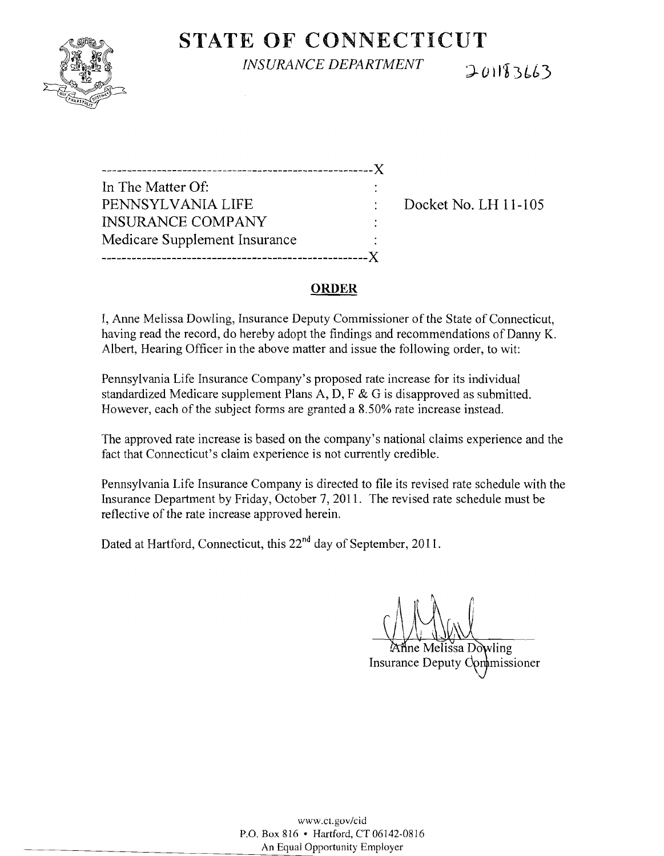

# **STATE** OF CONNECTICUT

*INSURANCE DEPARTMENT* 

201183663

| In The Matter Of:             |  |
|-------------------------------|--|
| PENNSYLVANIA LIFE             |  |
| <b>INSURANCE COMPANY</b>      |  |
| Medicare Supplement Insurance |  |
|                               |  |

Docket No. LH 11-105

### **ORDER**

I, Anne Melissa Dowling, Insurance Deputy Commissioner of the State of Connecticut, having read the record, do hereby adopt the findings and recommendations of Danny K. Albert, Hearing Officer in the above matter and issue the following order, to wit:

Pennsylvania Life Insurance Company's proposed rate increase for its individual standardized Medicare supplement Plans A, D, F & G is disapproved as submitted. However, each of the subject forms are granted a 8.50% rate increase instead.

The approved rate increase is based on the company's national claims experience and the fact that Connecticut's claim experience is not currently credible.

Pennsylvania Life Insurance Company is directed to file its revised rate schedule with the Insurance Department by Friday, October 7, 2011. The revised rate schedule must be ref1ective of the rate increase approved herein.

Dated at Hartford, Connecticut, this 22<sup>nd</sup> day of September, 2011.

ine Melissa Dowling Insurance Deputy Commissioner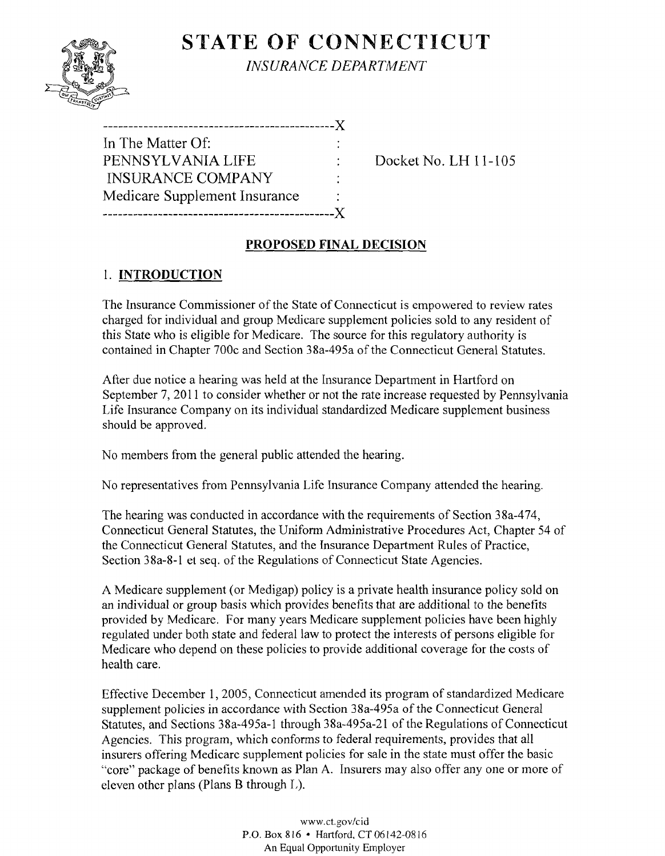

## **STATE OF CONNECTICUT** *INSURANCE DEPARTAIENT*

| In The Matter Of:             |  |
|-------------------------------|--|
| PENNSYLVANIA LIFE             |  |
| <b>INSURANCE COMPANY</b>      |  |
| Medicare Supplement Insurance |  |
| . X .                         |  |

Docket No. LH 11-105

### **PROPOSED FINAL DECISION**

### 1. **INTRODUCTION**

The Insurance Commissioner of the State of Connecticut is empowered to review rates charged for individual and group Medicare supplement policies sold to any resident of this State who is eligible for Medicare. The source for this regulatory authority is contained in Chapter 700c and Section 38a-495a of the Connecticut General Statutes.

After due notice a hearing was held at the Insurance Department in Hartford on September 7, 2011 to consider whether or not the rate increase requested by Pennsylvania Life Insurance Company on its individual standardized Medicare supplement business should be approved.

No members from the general public attended the hearing.

No representatives from Pennsylvania Life Insurance Company attended the hearing.

The hearing was conducted in accordance with the requirements of Section 38a-474, Connecticut General Statutes, the Uniform Administrative Procedures Act, Chapter 54 of the Connecticut General Statutes, and the Insurance Department Rules of Practice, Section 38a-8-1 et seq. of the Regulations of Connecticut State Agencies.

A Medicare supplement (or Medigap) policy is a private health insurance policy sold on an individual or group basis which provides benefits that are additional to the benefits provided by Medicare. For many years Medicare supplement policies have been highly regulated under both state and federal law to protect the interests of persons eligible for Medicare who depend on these policies to provide additional coverage for the costs of health care.

Effective December 1, 2005, Connecticut amended its program of standardized Medicare supplement policies in accordance with Section 38a-495a of the Connecticut General Statutes, and Sections 38a-495a-1 through 38a-495a-21 of the Regulations of Connecticut Agencies. This program, which conforms to federal requirements, provides that all insurers offering Medicare supplement policies for sale in the state must offer the basic "core" package of benefits known as Plan A. Insurers may also offer anyone or more of eleven other plans (Plans B through L).

> www.cLgov/cid P.O. Box 816 • Hartford. CT06142-0816 An Equal Opportunity Employer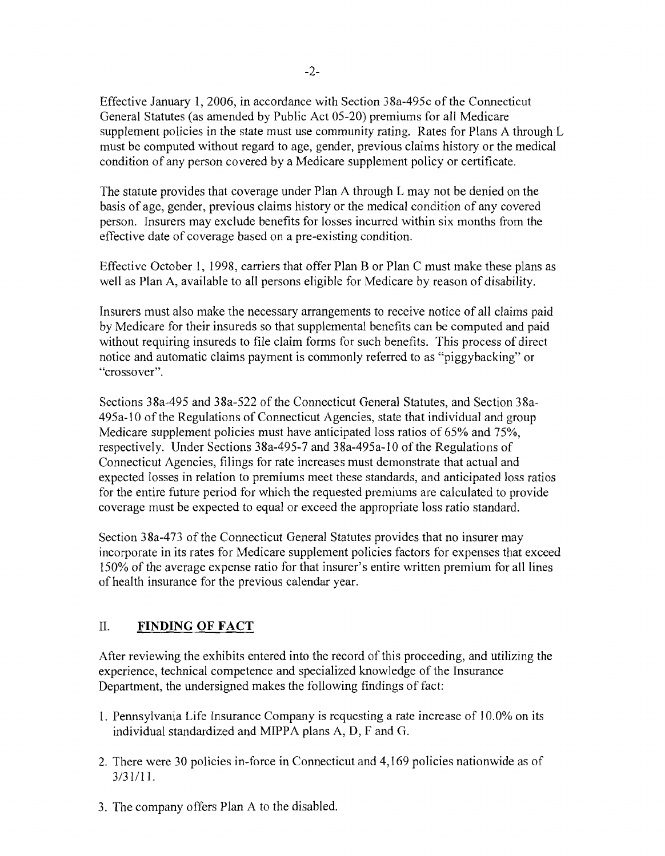Effective January 1,2006, in accordance with Section 38a-495c of the Connecticut General Statutes (as amended by Public Act 05-20) premiums for all Medicare supplement policies in the state must use community rating. Rates for Plans A through L must be computed without regard to age, gender, previous claims history or the medical condition of any person covered by a Medicare supplement policy or certificate.

The statute provides that coverage under Plan A through L may not be denied on the basis of age, gender, previous claims history or the medical condition of any covered person. Insurers may exclude benefits for losses incurred within six months from the effective date of coverage based on a pre-existing condition.

Effective October I, 1998, carriers that offer Plan B or Plan C must make these plans as well as Plan A, available to all persons eligible for Medicare by reason of disability.

Insurers must also make the necessary arrangements to receive notice of all claims paid by Medicare for their insureds so that supplemental benefits can be computed and paid without requiring insureds to file claim forms for such benefits. This process of direct notice and automatic claims payment is commonly referred to as "piggybacking" or "crossover".

Sections 38a-495 and 38a-522 of the Connecticut General Statutes, and Section 38a-495a-IO of the Regulations of Connecticut Agencies, state that individual and group Medicare supplement policies must have anticipated loss ratios of 65% and 75%, respectively. Under Sections 38a-495-7 and 38a-495a-10 of the Regulations of Connecticut Agencies, filings for rate increases must demonstrate that actual and expected losses in relation to premiums meet these standards, and anticipated loss ratios for the entire future period for which the requested premiums are calculated to provide coverage must be expected to equal or exceed the appropriate loss ratio standard.

Section 38a-473 of the Connecticut General Statutes provides that no insurer may incorporate in its rates for Medicare supplement policies factors for expenses that exceed 150% of the average expense ratio for that insurer's entire written premium for all lines of health insurance for the previous calendar year.

#### II. **FINDING OF FACT**

After reviewing the exhibits entered into the record of this proceeding, and utilizing the experience, technical competence and specialized knowledge of the Insurance Department, the undersigned makes the following findings of fact:

- 1. Pennsylvania Life Insurance Company is requesting a rate increase of 10.0% on its individual standardized and MIPPA plans A, D, F and G.
- 2. There were 30 policies in-force in Connecticut and 4,169 policies nationwide as of 3/31/11.
- 3. The company offers Plan A to the disabled.